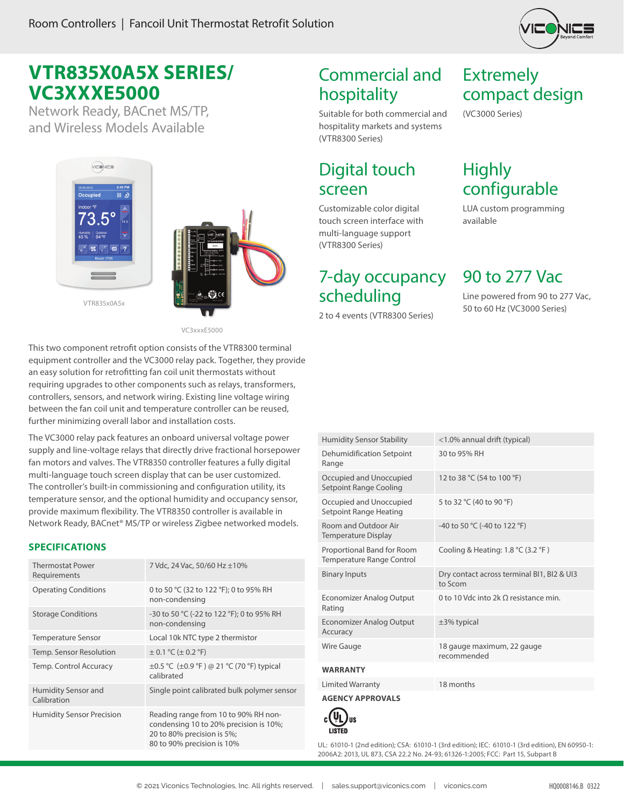

# **VTR835X0A5X SERIES/ VC3XXXE5000**

Network Ready, BACnet MS/TP, and Wireless Models Available



VC3xxxE5000

This two component retrofit option consists of the VTR8300 terminal equipment controller and the VC3000 relay pack. Together, they provide an easy solution for retrofitting fan coil unit thermostats without requiring upgrades to other components such as relays, transformers, controllers, sensors, and network wiring. Existing line voltage wiring between the fan coil unit and temperature controller can be reused, further minimizing overall labor and installation costs.

The VC3000 relay pack features an onboard universal voltage power supply and line-voltage relays that directly drive fractional horsepower fan motors and valves. The VTR8350 controller features a fully digital multi-language touch screen display that can be user customized. The controller's built-in commissioning and configuration utility, its temperature sensor, and the optional humidity and occupancy sensor, provide maximum flexibility. The VTR8350 controller is available in Network Ready, BACnet® MS/TP or wireless Zigbee networked models.

#### **SPECIFICATIONS**

| <b>Thermostat Power</b><br>Requirements | 7 Vdc, 24 Vac, 50/60 Hz ±10%                                                                                                               |
|-----------------------------------------|--------------------------------------------------------------------------------------------------------------------------------------------|
| <b>Operating Conditions</b>             | 0 to 50 °C (32 to 122 °F); 0 to 95% RH<br>non-condensing                                                                                   |
| <b>Storage Conditions</b>               | -30 to 50 °C (-22 to 122 °F); 0 to 95% RH<br>non-condensing                                                                                |
| <b>Temperature Sensor</b>               | Local 10k NTC type 2 thermistor                                                                                                            |
| Temp. Sensor Resolution                 | $\pm$ 0.1 °C ( $\pm$ 0.2 °F)                                                                                                               |
| Temp. Control Accuracy                  | ±0.5 °C (±0.9 °F) @ 21 °C (70 °F) typical<br>calibrated                                                                                    |
| Humidity Sensor and<br>Calibration      | Single point calibrated bulk polymer sensor                                                                                                |
| <b>Humidity Sensor Precision</b>        | Reading range from 10 to 90% RH non-<br>condensing 10 to 20% precision is 10%;<br>20 to 80% precision is 5%;<br>80 to 90% precision is 10% |

# Commercial and hospitality

Suitable for both commercial and hospitality markets and systems (VTR8300 Series)

### Digital touch screen

Customizable color digital touch screen interface with multi-language support (VTR8300 Series)

### 7-day occupancy scheduling

2 to 4 events (VTR8300 Series)

## Extremely compact design

(VC3000 Series)

## **Highly** configurable

LUA custom programming available

90 to 277 Vac

Line powered from 90 to 277 Vac, 50 to 60 Hz (VC3000 Series)

| <b>Humidity Sensor Stability</b>                        | <1.0% annual drift (typical)                                           |
|---------------------------------------------------------|------------------------------------------------------------------------|
| Dehumidification Setpoint<br>Range                      | 30 to 95% RH                                                           |
| Occupied and Unoccupied<br>Setpoint Range Cooling       | 12 to 38 °C (54 to 100 °F)                                             |
| Occupied and Unoccupied<br>Setpoint Range Heating       | 5 to 32 °C (40 to 90 °F)                                               |
| Room and Outdoor Air<br><b>Temperature Display</b>      | -40 to 50 °C (-40 to 122 °F)                                           |
| Proportional Band for Room<br>Temperature Range Control | Cooling & Heating: $1.8 \text{ }^{\circ}$ C (3.2 $\text{ }^{\circ}$ F) |
| <b>Binary Inputs</b>                                    | Dry contact across terminal BI1, BI2 & UI3                             |
|                                                         | to Scom                                                                |
| Economizer Analog Output<br>Rating                      | 0 to 10 Vdc into 2k $\Omega$ resistance min.                           |
| <b>Economizer Analog Output</b><br>Accuracy             | $±3%$ typical                                                          |
| Wire Gauge                                              | 18 gauge maximum, 22 gauge<br>recommended                              |
| <b>WARRANTY</b>                                         |                                                                        |
| <b>Limited Warranty</b>                                 | 18 months                                                              |



UL: 61010-1 (2nd edition); CSA: 61010-1 (3rd edition); IEC: 61010-1 (3rd edition), EN 60950-1: 2006A2: 2013, UL 873, CSA 22.2 No. 24-93; 61326-1:2005; FCC: Part 15, Subpart B